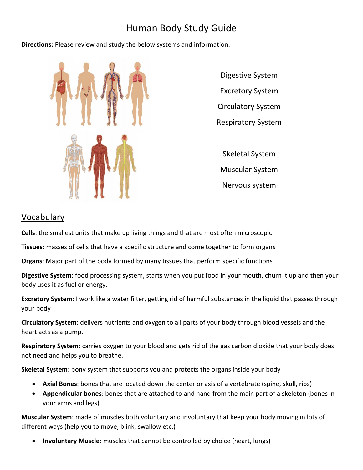# Human Body Study Guide

**Directions:** Please review and study the below systems and information.



Digestive System Excretory System Circulatory System Respiratory System Skeletal System

Muscular System

Nervous system

## Vocabulary

**Cells**: the smallest units that make up living things and that are most often microscopic

**Tissues**: masses of cells that have a specific structure and come together to form organs

**Organs**: Major part of the body formed by many tissues that perform specific functions

**Digestive System**: food processing system, starts when you put food in your mouth, churn it up and then your body uses it as fuel or energy.

**Excretory System**: I work like a water filter, getting rid of harmful substances in the liquid that passes through your body

**Circulatory System**: delivers nutrients and oxygen to all parts of your body through blood vessels and the heart acts as a pump.

**Respiratory System**: carries oxygen to your blood and gets rid of the gas carbon dioxide that your body does not need and helps you to breathe.

**Skeletal System**: bony system that supports you and protects the organs inside your body

- **Axial Bones**: bones that are located down the center or axis of a vertebrate (spine, skull, ribs)
- **Appendicular bones**: bones that are attached to and hand from the main part of a skeleton (bones in your arms and legs)

**Muscular System**: made of muscles both voluntary and involuntary that keep your body moving in lots of different ways (help you to move, blink, swallow etc.)

**Involuntary Muscle**: muscles that cannot be controlled by choice (heart, lungs)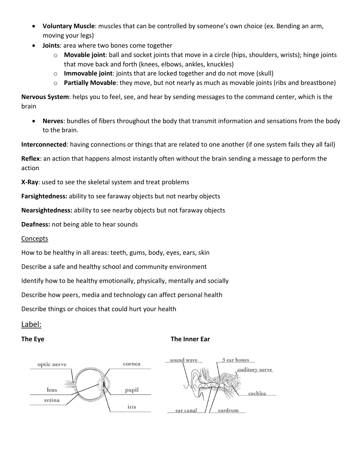- **Voluntary Muscle**: muscles that can be controlled by someone's own choice (ex. Bending an arm, moving your legs)
- **Joints**: area where two bones come together
	- o **Movable joint**: ball and socket joints that move in a circle (hips, shoulders, wrists); hinge joints that move back and forth (knees, elbows, ankles, knuckles)
	- o **Immovable joint**: joints that are locked together and do not move (skull)
	- o **Partially Movable**: they move, but not nearly as much as movable joints (ribs and breastbone)

**Nervous System**: helps you to feel, see, and hear by sending messages to the command center, which is the brain

 **Nerves**: bundles of fibers throughout the body that transmit information and sensations from the body to the brain.

**Interconnected**: having connections or things that are related to one another (if one system fails they all fail)

**Reflex**: an action that happens almost instantly often without the brain sending a message to perform the action

**X-Ray**: used to see the skeletal system and treat problems

**Farsightedness:** ability to see faraway objects but not nearby objects

**Nearsightedness:** ability to see nearby objects but not faraway objects

**Deafness:** not being able to hear sounds

#### **Concepts**

How to be healthy in all areas: teeth, gums, body, eyes, ears, skin

Describe a safe and healthy school and community environment

Identify how to be healthy emotionally, physically, mentally and socially

Describe how peers, media and technology can affect personal health

Describe things or choices that could hurt your health

#### Label:

#### **The Eye The Inner Ear**